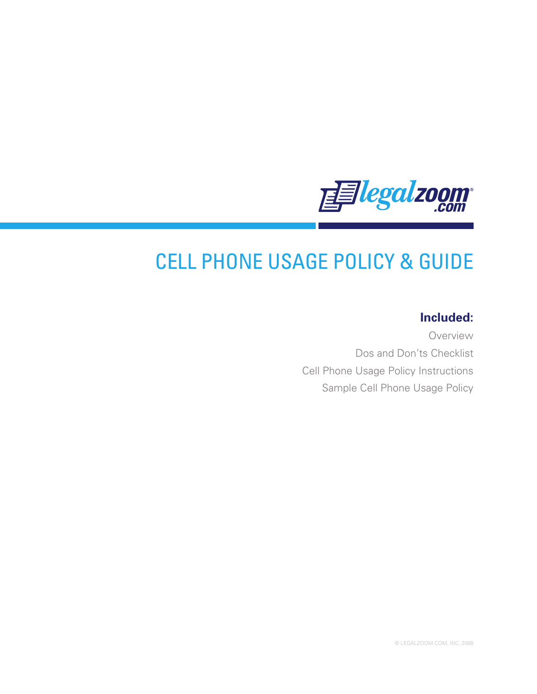

# CELL PHONE USAGE POLICY & GUIDE

# **Included:**

Overview Dos and Don'ts Checklist Cell Phone Usage Policy Instructions Sample Cell Phone Usage Policy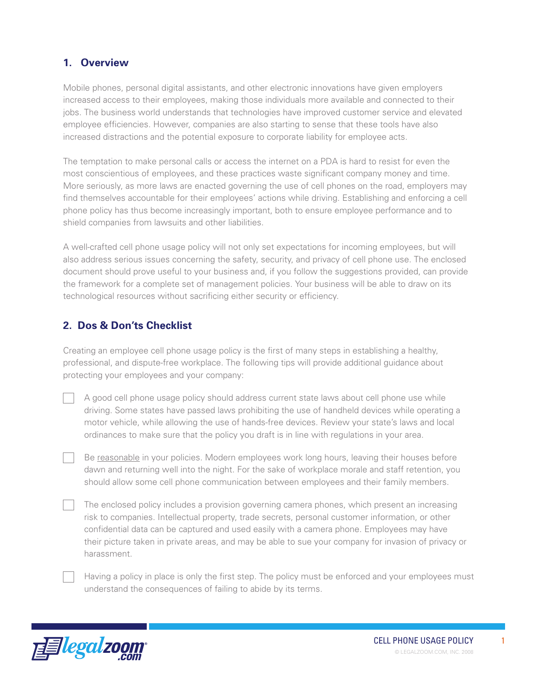### **1. Overview**

Mobile phones, personal digital assistants, and other electronic innovations have given employers increased access to their employees, making those individuals more available and connected to their jobs. The business world understands that technologies have improved customer service and elevated employee efficiencies. However, companies are also starting to sense that these tools have also increased distractions and the potential exposure to corporate liability for employee acts.

The temptation to make personal calls or access the internet on a PDA is hard to resist for even the most conscientious of employees, and these practices waste significant company money and time. More seriously, as more laws are enacted governing the use of cell phones on the road, employers may find themselves accountable for their employees' actions while driving. Establishing and enforcing a cell phone policy has thus become increasingly important, both to ensure employee performance and to shield companies from lawsuits and other liabilities.

A well-crafted cell phone usage policy will not only set expectations for incoming employees, but will also address serious issues concerning the safety, security, and privacy of cell phone use. The enclosed document should prove useful to your business and, if you follow the suggestions provided, can provide the framework for a complete set of management policies. Your business will be able to draw on its technological resources without sacrificing either security or efficiency.

## **2. Dos & Don'ts Checklist**

Creating an employee cell phone usage policy is the first of many steps in establishing a healthy, professional, and dispute-free workplace. The following tips will provide additional guidance about protecting your employees and your company:

A good cell phone usage policy should address current state laws about cell phone use while driving. Some states have passed laws prohibiting the use of handheld devices while operating a motor vehicle, while allowing the use of hands-free devices. Review your state's laws and local ordinances to make sure that the policy you draft is in line with regulations in your area.

Be reasonable in your policies. Modern employees work long hours, leaving their houses before dawn and returning well into the night. For the sake of workplace morale and staff retention, you should allow some cell phone communication between employees and their family members.

The enclosed policy includes a provision governing camera phones, which present an increasing risk to companies. Intellectual property, trade secrets, personal customer information, or other confidential data can be captured and used easily with a camera phone. Employees may have their picture taken in private areas, and may be able to sue your company for invasion of privacy or harassment.

Having a policy in place is only the first step. The policy must be enforced and your employees must understand the consequences of failing to abide by its terms.

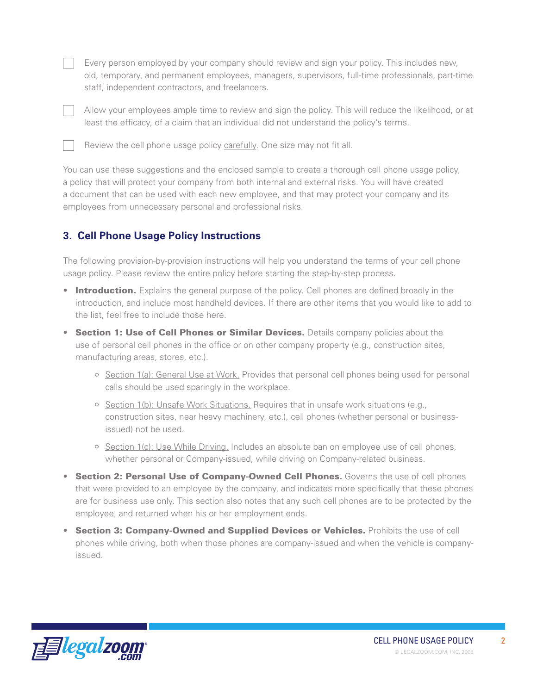Every person employed by your company should review and sign your policy. This includes new, old, temporary, and permanent employees, managers, supervisors, full-time professionals, part-time staff, independent contractors, and freelancers.



Allow your employees ample time to review and sign the policy. This will reduce the likelihood, or at least the efficacy, of a claim that an individual did not understand the policy's terms.



Review the cell phone usage policy carefully. One size may not fit all.

You can use these suggestions and the enclosed sample to create a thorough cell phone usage policy, a policy that will protect your company from both internal and external risks. You will have created a document that can be used with each new employee, and that may protect your company and its employees from unnecessary personal and professional risks.

## **3. Cell Phone Usage Policy Instructions**

The following provision-by-provision instructions will help you understand the terms of your cell phone usage policy. Please review the entire policy before starting the step-by-step process.

- Introduction. Explains the general purpose of the policy. Cell phones are defined broadly in the introduction, and include most handheld devices. If there are other items that you would like to add to the list, feel free to include those here.
- **Section 1: Use of Cell Phones or Similar Devices.** Details company policies about the use of personal cell phones in the office or on other company property (e.g., construction sites, manufacturing areas, stores, etc.).
	- $\circ$  Section 1(a): General Use at Work. Provides that personal cell phones being used for personal calls should be used sparingly in the workplace.
	- $\circ$  Section 1(b): Unsafe Work Situations. Requires that in unsafe work situations (e.g., construction sites, near heavy machinery, etc.), cell phones (whether personal or businessissued) not be used.
	- $\circ$  Section 1(c): Use While Driving. Includes an absolute ban on employee use of cell phones, whether personal or Company-issued, while driving on Company-related business.
- **Section 2: Personal Use of Company-Owned Cell Phones.** Governs the use of cell phones that were provided to an employee by the company, and indicates more specifically that these phones are for business use only. This section also notes that any such cell phones are to be protected by the employee, and returned when his or her employment ends.
- **Section 3: Company-Owned and Supplied Devices or Vehicles.** Prohibits the use of cell phones while driving, both when those phones are company-issued and when the vehicle is companyissued.

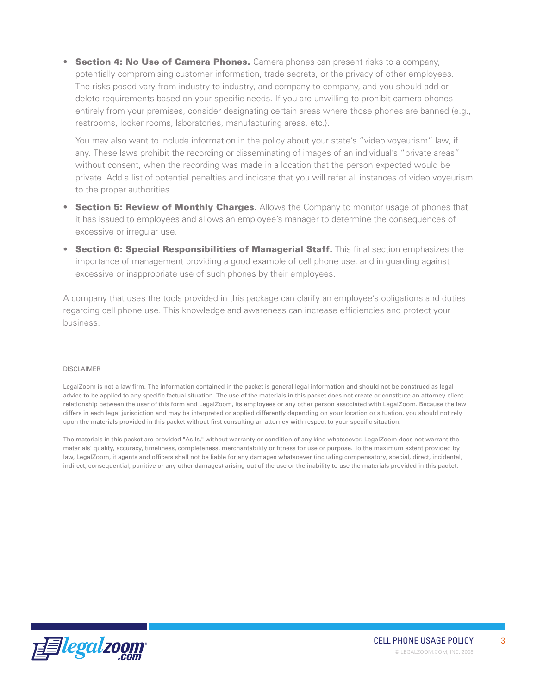• Section 4: No Use of Camera Phones. Camera phones can present risks to a company, potentially compromising customer information, trade secrets, or the privacy of other employees. The risks posed vary from industry to industry, and company to company, and you should add or delete requirements based on your specific needs. If you are unwilling to prohibit camera phones entirely from your premises, consider designating certain areas where those phones are banned (e.g., restrooms, locker rooms, laboratories, manufacturing areas, etc.).

You may also want to include information in the policy about your state's "video voyeurism" law, if any. These laws prohibit the recording or disseminating of images of an individual's "private areas" without consent, when the recording was made in a location that the person expected would be private. Add a list of potential penalties and indicate that you will refer all instances of video voyeurism to the proper authorities.

- Section 5: Review of Monthly Charges. Allows the Company to monitor usage of phones that it has issued to employees and allows an employee's manager to determine the consequences of excessive or irregular use.
- **Section 6: Special Responsibilities of Managerial Staff.** This final section emphasizes the importance of management providing a good example of cell phone use, and in guarding against excessive or inappropriate use of such phones by their employees.

A company that uses the tools provided in this package can clarify an employee's obligations and duties regarding cell phone use. This knowledge and awareness can increase efficiencies and protect your business.

#### DISCLAIMER

LegalZoom is not a law firm. The information contained in the packet is general legal information and should not be construed as legal advice to be applied to any specific factual situation. The use of the materials in this packet does not create or constitute an attorney-client relationship between the user of this form and LegalZoom, its employees or any other person associated with LegalZoom. Because the law differs in each legal jurisdiction and may be interpreted or applied differently depending on your location or situation, you should not rely upon the materials provided in this packet without first consulting an attorney with respect to your specific situation.

The materials in this packet are provided "As-Is," without warranty or condition of any kind whatsoever. LegalZoom does not warrant the materials' quality, accuracy, timeliness, completeness, merchantability or fitness for use or purpose. To the maximum extent provided by law, LegalZoom, it agents and officers shall not be liable for any damages whatsoever (including compensatory, special, direct, incidental, indirect, consequential, punitive or any other damages) arising out of the use or the inability to use the materials provided in this packet.